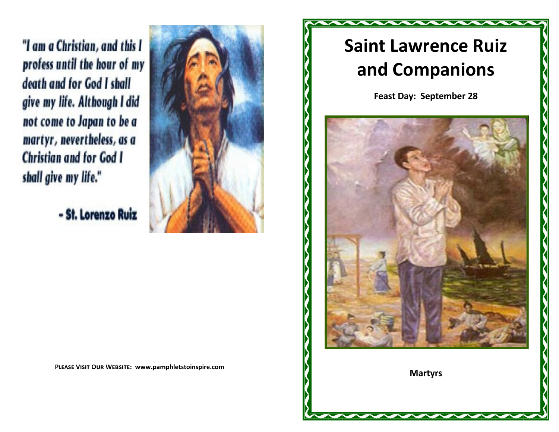"I am a Christian, and this I profess until the hour of my death and for God I shall give my life. Although I did not come to Japan to be a martyr, nevertheless, as a **Christian and for God I** shall give my life."

- St. Lorenzo Ruiz



**Please Visit Our Website: www.pamphletstoinspire.com**

## **Saint Lawrence Ruiz and Companions**

**Feast Day: September 28**



**Martyrs**